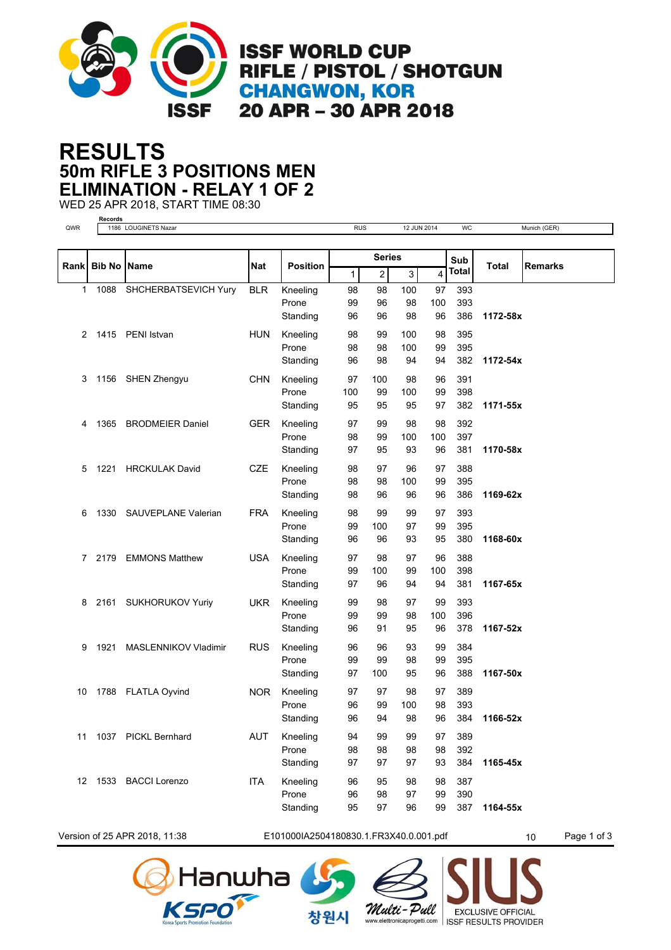

## **50m RIFLE 3 POSITIONS MEN RESULTS ELIMINATION - RELAY 1 OF 2**

WED 25 APR 2018, START TIME 08:30 **Records**

| <b>Series</b><br>Sub<br><b>Name</b><br><b>Nat</b><br><b>Bib No</b><br><b>Position</b><br><b>Total</b><br><b>Remarks</b><br>Rank<br>Total<br>$\mathbf{1}$<br>2<br>3<br>4<br><b>BLR</b><br>Kneeling<br>98<br>98<br>100<br>97<br>393<br>1<br>1088<br>SHCHERBATSEVICH Yury<br>99<br>96<br>98<br>100<br>393<br>Prone<br>Standing<br>96<br>96<br>98<br>96<br>386<br>1172-58x<br><b>HUN</b><br>Kneeling<br>98<br>1415 PENI Istvan<br>99<br>100<br>98<br>395<br>2<br>Prone<br>98<br>98<br>100<br>99<br>395<br>94<br>382<br>Standing<br>96<br>98<br>94<br>1172-54x<br>1156 SHEN Zhengyu<br>Kneeling<br>97<br>100<br>391<br>3<br><b>CHN</b><br>98<br>96<br>Prone<br>100<br>99<br>100<br>99<br>398<br>95<br>382<br>Standing<br>95<br>95<br>97<br>1171-55x<br><b>GER</b><br>Kneeling<br><b>BRODMEIER Daniel</b><br>97<br>99<br>98<br>98<br>392<br>1365<br>4<br>Prone<br>98<br>99<br>100<br>100<br>397<br>Standing<br>93<br>97<br>95<br>96<br>381<br>1170-58x<br><b>CZE</b><br>Kneeling<br>98<br>388<br>1221<br><b>HRCKULAK David</b><br>97<br>96<br>97<br>5<br>Prone<br>98<br>98<br>100<br>395<br>99<br>98<br>96<br>96<br>386<br>1169-62x<br>Standing<br>96<br>1330<br>SAUVEPLANE Valerian<br><b>FRA</b><br>98<br>99<br>99<br>393<br>6<br>Kneeling<br>97<br>Prone<br>99<br>100<br>97<br>99<br>395<br>Standing<br>96<br>96<br>93<br>95<br>380<br>1168-60x<br><b>USA</b><br>Kneeling<br>2179<br><b>EMMONS Matthew</b><br>97<br>98<br>97<br>96<br>388<br>7<br>Prone<br>99<br>398<br>100<br>99<br>100<br>381<br>Standing<br>97<br>96<br>94<br>1167-65x<br>94<br><b>UKR</b><br>Kneeling<br>99<br>393<br>2161<br><b>SUKHORUKOV Yuriy</b><br>98<br>97<br>99<br>8<br>Prone<br>99<br>99<br>98<br>100<br>396<br>Standing<br>96<br>91<br>95<br>96<br>378<br>1167-52x<br>96<br>384<br>1921<br>MASLENNIKOV Vladimir<br><b>RUS</b><br>Kneeling<br>96<br>93<br>99<br>9<br>Prone<br>99<br>99<br>98<br>99<br>395<br>1167-50x<br>Standing<br>97<br>100<br>95<br>96<br>388<br>Kneeling<br>389<br>1788 FLATLA Oyvind<br><b>NOR</b><br>97<br>97<br>98<br>97<br>10<br>Prone<br>96<br>99<br>100<br>98<br>393<br>96<br>94<br>98<br>384<br>1166-52x<br>Standing<br>96<br>1037 PICKL Bernhard<br>AUT<br>Kneeling<br>99<br>389<br>11<br>94<br>99<br>97<br>Prone<br>98<br>98<br>98<br>98<br>392<br>Standing<br>97<br>97<br>97<br>93<br>384<br>1165-45x<br>12 1533 BACCI Lorenzo<br><b>ITA</b><br>Kneeling<br>96<br>387<br>95<br>98<br>98<br>Prone<br>96<br>98<br>97<br>99<br>390<br>99 | QWR | 1186 LOUGINETS Nazar |          | <b>RUS</b> |    | 12 JUN 2014 |  | <b>WC</b> |          | Munich (GER) |
|------------------------------------------------------------------------------------------------------------------------------------------------------------------------------------------------------------------------------------------------------------------------------------------------------------------------------------------------------------------------------------------------------------------------------------------------------------------------------------------------------------------------------------------------------------------------------------------------------------------------------------------------------------------------------------------------------------------------------------------------------------------------------------------------------------------------------------------------------------------------------------------------------------------------------------------------------------------------------------------------------------------------------------------------------------------------------------------------------------------------------------------------------------------------------------------------------------------------------------------------------------------------------------------------------------------------------------------------------------------------------------------------------------------------------------------------------------------------------------------------------------------------------------------------------------------------------------------------------------------------------------------------------------------------------------------------------------------------------------------------------------------------------------------------------------------------------------------------------------------------------------------------------------------------------------------------------------------------------------------------------------------------------------------------------------------------------------------------------------------------------------------------------------------------------------------------------------------------------------------------------------------------------------------------------------------------------------------------------------------------------------------------------------------------------------------------|-----|----------------------|----------|------------|----|-------------|--|-----------|----------|--------------|
|                                                                                                                                                                                                                                                                                                                                                                                                                                                                                                                                                                                                                                                                                                                                                                                                                                                                                                                                                                                                                                                                                                                                                                                                                                                                                                                                                                                                                                                                                                                                                                                                                                                                                                                                                                                                                                                                                                                                                                                                                                                                                                                                                                                                                                                                                                                                                                                                                                                |     |                      |          |            |    |             |  |           |          |              |
|                                                                                                                                                                                                                                                                                                                                                                                                                                                                                                                                                                                                                                                                                                                                                                                                                                                                                                                                                                                                                                                                                                                                                                                                                                                                                                                                                                                                                                                                                                                                                                                                                                                                                                                                                                                                                                                                                                                                                                                                                                                                                                                                                                                                                                                                                                                                                                                                                                                |     |                      |          |            |    |             |  |           |          |              |
|                                                                                                                                                                                                                                                                                                                                                                                                                                                                                                                                                                                                                                                                                                                                                                                                                                                                                                                                                                                                                                                                                                                                                                                                                                                                                                                                                                                                                                                                                                                                                                                                                                                                                                                                                                                                                                                                                                                                                                                                                                                                                                                                                                                                                                                                                                                                                                                                                                                |     |                      |          |            |    |             |  |           |          |              |
|                                                                                                                                                                                                                                                                                                                                                                                                                                                                                                                                                                                                                                                                                                                                                                                                                                                                                                                                                                                                                                                                                                                                                                                                                                                                                                                                                                                                                                                                                                                                                                                                                                                                                                                                                                                                                                                                                                                                                                                                                                                                                                                                                                                                                                                                                                                                                                                                                                                |     |                      |          |            |    |             |  |           |          |              |
|                                                                                                                                                                                                                                                                                                                                                                                                                                                                                                                                                                                                                                                                                                                                                                                                                                                                                                                                                                                                                                                                                                                                                                                                                                                                                                                                                                                                                                                                                                                                                                                                                                                                                                                                                                                                                                                                                                                                                                                                                                                                                                                                                                                                                                                                                                                                                                                                                                                |     |                      |          |            |    |             |  |           |          |              |
|                                                                                                                                                                                                                                                                                                                                                                                                                                                                                                                                                                                                                                                                                                                                                                                                                                                                                                                                                                                                                                                                                                                                                                                                                                                                                                                                                                                                                                                                                                                                                                                                                                                                                                                                                                                                                                                                                                                                                                                                                                                                                                                                                                                                                                                                                                                                                                                                                                                |     |                      |          |            |    |             |  |           |          |              |
|                                                                                                                                                                                                                                                                                                                                                                                                                                                                                                                                                                                                                                                                                                                                                                                                                                                                                                                                                                                                                                                                                                                                                                                                                                                                                                                                                                                                                                                                                                                                                                                                                                                                                                                                                                                                                                                                                                                                                                                                                                                                                                                                                                                                                                                                                                                                                                                                                                                |     |                      |          |            |    |             |  |           |          |              |
|                                                                                                                                                                                                                                                                                                                                                                                                                                                                                                                                                                                                                                                                                                                                                                                                                                                                                                                                                                                                                                                                                                                                                                                                                                                                                                                                                                                                                                                                                                                                                                                                                                                                                                                                                                                                                                                                                                                                                                                                                                                                                                                                                                                                                                                                                                                                                                                                                                                |     |                      |          |            |    |             |  |           |          |              |
|                                                                                                                                                                                                                                                                                                                                                                                                                                                                                                                                                                                                                                                                                                                                                                                                                                                                                                                                                                                                                                                                                                                                                                                                                                                                                                                                                                                                                                                                                                                                                                                                                                                                                                                                                                                                                                                                                                                                                                                                                                                                                                                                                                                                                                                                                                                                                                                                                                                |     |                      |          |            |    |             |  |           |          |              |
|                                                                                                                                                                                                                                                                                                                                                                                                                                                                                                                                                                                                                                                                                                                                                                                                                                                                                                                                                                                                                                                                                                                                                                                                                                                                                                                                                                                                                                                                                                                                                                                                                                                                                                                                                                                                                                                                                                                                                                                                                                                                                                                                                                                                                                                                                                                                                                                                                                                |     |                      |          |            |    |             |  |           |          |              |
|                                                                                                                                                                                                                                                                                                                                                                                                                                                                                                                                                                                                                                                                                                                                                                                                                                                                                                                                                                                                                                                                                                                                                                                                                                                                                                                                                                                                                                                                                                                                                                                                                                                                                                                                                                                                                                                                                                                                                                                                                                                                                                                                                                                                                                                                                                                                                                                                                                                |     |                      |          |            |    |             |  |           |          |              |
|                                                                                                                                                                                                                                                                                                                                                                                                                                                                                                                                                                                                                                                                                                                                                                                                                                                                                                                                                                                                                                                                                                                                                                                                                                                                                                                                                                                                                                                                                                                                                                                                                                                                                                                                                                                                                                                                                                                                                                                                                                                                                                                                                                                                                                                                                                                                                                                                                                                |     |                      |          |            |    |             |  |           |          |              |
|                                                                                                                                                                                                                                                                                                                                                                                                                                                                                                                                                                                                                                                                                                                                                                                                                                                                                                                                                                                                                                                                                                                                                                                                                                                                                                                                                                                                                                                                                                                                                                                                                                                                                                                                                                                                                                                                                                                                                                                                                                                                                                                                                                                                                                                                                                                                                                                                                                                |     |                      |          |            |    |             |  |           |          |              |
|                                                                                                                                                                                                                                                                                                                                                                                                                                                                                                                                                                                                                                                                                                                                                                                                                                                                                                                                                                                                                                                                                                                                                                                                                                                                                                                                                                                                                                                                                                                                                                                                                                                                                                                                                                                                                                                                                                                                                                                                                                                                                                                                                                                                                                                                                                                                                                                                                                                |     |                      |          |            |    |             |  |           |          |              |
|                                                                                                                                                                                                                                                                                                                                                                                                                                                                                                                                                                                                                                                                                                                                                                                                                                                                                                                                                                                                                                                                                                                                                                                                                                                                                                                                                                                                                                                                                                                                                                                                                                                                                                                                                                                                                                                                                                                                                                                                                                                                                                                                                                                                                                                                                                                                                                                                                                                |     |                      |          |            |    |             |  |           |          |              |
|                                                                                                                                                                                                                                                                                                                                                                                                                                                                                                                                                                                                                                                                                                                                                                                                                                                                                                                                                                                                                                                                                                                                                                                                                                                                                                                                                                                                                                                                                                                                                                                                                                                                                                                                                                                                                                                                                                                                                                                                                                                                                                                                                                                                                                                                                                                                                                                                                                                |     |                      |          |            |    |             |  |           |          |              |
|                                                                                                                                                                                                                                                                                                                                                                                                                                                                                                                                                                                                                                                                                                                                                                                                                                                                                                                                                                                                                                                                                                                                                                                                                                                                                                                                                                                                                                                                                                                                                                                                                                                                                                                                                                                                                                                                                                                                                                                                                                                                                                                                                                                                                                                                                                                                                                                                                                                |     |                      |          |            |    |             |  |           |          |              |
|                                                                                                                                                                                                                                                                                                                                                                                                                                                                                                                                                                                                                                                                                                                                                                                                                                                                                                                                                                                                                                                                                                                                                                                                                                                                                                                                                                                                                                                                                                                                                                                                                                                                                                                                                                                                                                                                                                                                                                                                                                                                                                                                                                                                                                                                                                                                                                                                                                                |     |                      |          |            |    |             |  |           |          |              |
|                                                                                                                                                                                                                                                                                                                                                                                                                                                                                                                                                                                                                                                                                                                                                                                                                                                                                                                                                                                                                                                                                                                                                                                                                                                                                                                                                                                                                                                                                                                                                                                                                                                                                                                                                                                                                                                                                                                                                                                                                                                                                                                                                                                                                                                                                                                                                                                                                                                |     |                      |          |            |    |             |  |           |          |              |
|                                                                                                                                                                                                                                                                                                                                                                                                                                                                                                                                                                                                                                                                                                                                                                                                                                                                                                                                                                                                                                                                                                                                                                                                                                                                                                                                                                                                                                                                                                                                                                                                                                                                                                                                                                                                                                                                                                                                                                                                                                                                                                                                                                                                                                                                                                                                                                                                                                                |     |                      |          |            |    |             |  |           |          |              |
|                                                                                                                                                                                                                                                                                                                                                                                                                                                                                                                                                                                                                                                                                                                                                                                                                                                                                                                                                                                                                                                                                                                                                                                                                                                                                                                                                                                                                                                                                                                                                                                                                                                                                                                                                                                                                                                                                                                                                                                                                                                                                                                                                                                                                                                                                                                                                                                                                                                |     |                      |          |            |    |             |  |           |          |              |
|                                                                                                                                                                                                                                                                                                                                                                                                                                                                                                                                                                                                                                                                                                                                                                                                                                                                                                                                                                                                                                                                                                                                                                                                                                                                                                                                                                                                                                                                                                                                                                                                                                                                                                                                                                                                                                                                                                                                                                                                                                                                                                                                                                                                                                                                                                                                                                                                                                                |     |                      |          |            |    |             |  |           |          |              |
|                                                                                                                                                                                                                                                                                                                                                                                                                                                                                                                                                                                                                                                                                                                                                                                                                                                                                                                                                                                                                                                                                                                                                                                                                                                                                                                                                                                                                                                                                                                                                                                                                                                                                                                                                                                                                                                                                                                                                                                                                                                                                                                                                                                                                                                                                                                                                                                                                                                |     |                      |          |            |    |             |  |           |          |              |
|                                                                                                                                                                                                                                                                                                                                                                                                                                                                                                                                                                                                                                                                                                                                                                                                                                                                                                                                                                                                                                                                                                                                                                                                                                                                                                                                                                                                                                                                                                                                                                                                                                                                                                                                                                                                                                                                                                                                                                                                                                                                                                                                                                                                                                                                                                                                                                                                                                                |     |                      |          |            |    |             |  |           |          |              |
|                                                                                                                                                                                                                                                                                                                                                                                                                                                                                                                                                                                                                                                                                                                                                                                                                                                                                                                                                                                                                                                                                                                                                                                                                                                                                                                                                                                                                                                                                                                                                                                                                                                                                                                                                                                                                                                                                                                                                                                                                                                                                                                                                                                                                                                                                                                                                                                                                                                |     |                      |          |            |    |             |  |           |          |              |
|                                                                                                                                                                                                                                                                                                                                                                                                                                                                                                                                                                                                                                                                                                                                                                                                                                                                                                                                                                                                                                                                                                                                                                                                                                                                                                                                                                                                                                                                                                                                                                                                                                                                                                                                                                                                                                                                                                                                                                                                                                                                                                                                                                                                                                                                                                                                                                                                                                                |     |                      |          |            |    |             |  |           |          |              |
|                                                                                                                                                                                                                                                                                                                                                                                                                                                                                                                                                                                                                                                                                                                                                                                                                                                                                                                                                                                                                                                                                                                                                                                                                                                                                                                                                                                                                                                                                                                                                                                                                                                                                                                                                                                                                                                                                                                                                                                                                                                                                                                                                                                                                                                                                                                                                                                                                                                |     |                      |          |            |    |             |  |           |          |              |
|                                                                                                                                                                                                                                                                                                                                                                                                                                                                                                                                                                                                                                                                                                                                                                                                                                                                                                                                                                                                                                                                                                                                                                                                                                                                                                                                                                                                                                                                                                                                                                                                                                                                                                                                                                                                                                                                                                                                                                                                                                                                                                                                                                                                                                                                                                                                                                                                                                                |     |                      |          |            |    |             |  |           |          |              |
|                                                                                                                                                                                                                                                                                                                                                                                                                                                                                                                                                                                                                                                                                                                                                                                                                                                                                                                                                                                                                                                                                                                                                                                                                                                                                                                                                                                                                                                                                                                                                                                                                                                                                                                                                                                                                                                                                                                                                                                                                                                                                                                                                                                                                                                                                                                                                                                                                                                |     |                      |          |            |    |             |  |           |          |              |
|                                                                                                                                                                                                                                                                                                                                                                                                                                                                                                                                                                                                                                                                                                                                                                                                                                                                                                                                                                                                                                                                                                                                                                                                                                                                                                                                                                                                                                                                                                                                                                                                                                                                                                                                                                                                                                                                                                                                                                                                                                                                                                                                                                                                                                                                                                                                                                                                                                                |     |                      |          |            |    |             |  |           |          |              |
|                                                                                                                                                                                                                                                                                                                                                                                                                                                                                                                                                                                                                                                                                                                                                                                                                                                                                                                                                                                                                                                                                                                                                                                                                                                                                                                                                                                                                                                                                                                                                                                                                                                                                                                                                                                                                                                                                                                                                                                                                                                                                                                                                                                                                                                                                                                                                                                                                                                |     |                      |          |            |    |             |  |           |          |              |
|                                                                                                                                                                                                                                                                                                                                                                                                                                                                                                                                                                                                                                                                                                                                                                                                                                                                                                                                                                                                                                                                                                                                                                                                                                                                                                                                                                                                                                                                                                                                                                                                                                                                                                                                                                                                                                                                                                                                                                                                                                                                                                                                                                                                                                                                                                                                                                                                                                                |     |                      |          |            |    |             |  |           |          |              |
|                                                                                                                                                                                                                                                                                                                                                                                                                                                                                                                                                                                                                                                                                                                                                                                                                                                                                                                                                                                                                                                                                                                                                                                                                                                                                                                                                                                                                                                                                                                                                                                                                                                                                                                                                                                                                                                                                                                                                                                                                                                                                                                                                                                                                                                                                                                                                                                                                                                |     |                      |          |            |    |             |  |           |          |              |
|                                                                                                                                                                                                                                                                                                                                                                                                                                                                                                                                                                                                                                                                                                                                                                                                                                                                                                                                                                                                                                                                                                                                                                                                                                                                                                                                                                                                                                                                                                                                                                                                                                                                                                                                                                                                                                                                                                                                                                                                                                                                                                                                                                                                                                                                                                                                                                                                                                                |     |                      |          |            |    |             |  |           |          |              |
|                                                                                                                                                                                                                                                                                                                                                                                                                                                                                                                                                                                                                                                                                                                                                                                                                                                                                                                                                                                                                                                                                                                                                                                                                                                                                                                                                                                                                                                                                                                                                                                                                                                                                                                                                                                                                                                                                                                                                                                                                                                                                                                                                                                                                                                                                                                                                                                                                                                |     |                      |          |            |    |             |  |           |          |              |
|                                                                                                                                                                                                                                                                                                                                                                                                                                                                                                                                                                                                                                                                                                                                                                                                                                                                                                                                                                                                                                                                                                                                                                                                                                                                                                                                                                                                                                                                                                                                                                                                                                                                                                                                                                                                                                                                                                                                                                                                                                                                                                                                                                                                                                                                                                                                                                                                                                                |     |                      |          |            |    |             |  |           |          |              |
|                                                                                                                                                                                                                                                                                                                                                                                                                                                                                                                                                                                                                                                                                                                                                                                                                                                                                                                                                                                                                                                                                                                                                                                                                                                                                                                                                                                                                                                                                                                                                                                                                                                                                                                                                                                                                                                                                                                                                                                                                                                                                                                                                                                                                                                                                                                                                                                                                                                |     |                      |          |            |    |             |  |           |          |              |
|                                                                                                                                                                                                                                                                                                                                                                                                                                                                                                                                                                                                                                                                                                                                                                                                                                                                                                                                                                                                                                                                                                                                                                                                                                                                                                                                                                                                                                                                                                                                                                                                                                                                                                                                                                                                                                                                                                                                                                                                                                                                                                                                                                                                                                                                                                                                                                                                                                                |     |                      |          |            |    |             |  |           |          |              |
|                                                                                                                                                                                                                                                                                                                                                                                                                                                                                                                                                                                                                                                                                                                                                                                                                                                                                                                                                                                                                                                                                                                                                                                                                                                                                                                                                                                                                                                                                                                                                                                                                                                                                                                                                                                                                                                                                                                                                                                                                                                                                                                                                                                                                                                                                                                                                                                                                                                |     |                      |          |            |    |             |  |           |          |              |
|                                                                                                                                                                                                                                                                                                                                                                                                                                                                                                                                                                                                                                                                                                                                                                                                                                                                                                                                                                                                                                                                                                                                                                                                                                                                                                                                                                                                                                                                                                                                                                                                                                                                                                                                                                                                                                                                                                                                                                                                                                                                                                                                                                                                                                                                                                                                                                                                                                                |     |                      | Standing | 95         | 97 | 96          |  | 387       | 1164-55x |              |

Version of 25 APR 2018, 11:38 E101000IA2504180830.1.FR3X40.0.001.pdf 10 Page 1 of 3

창원시





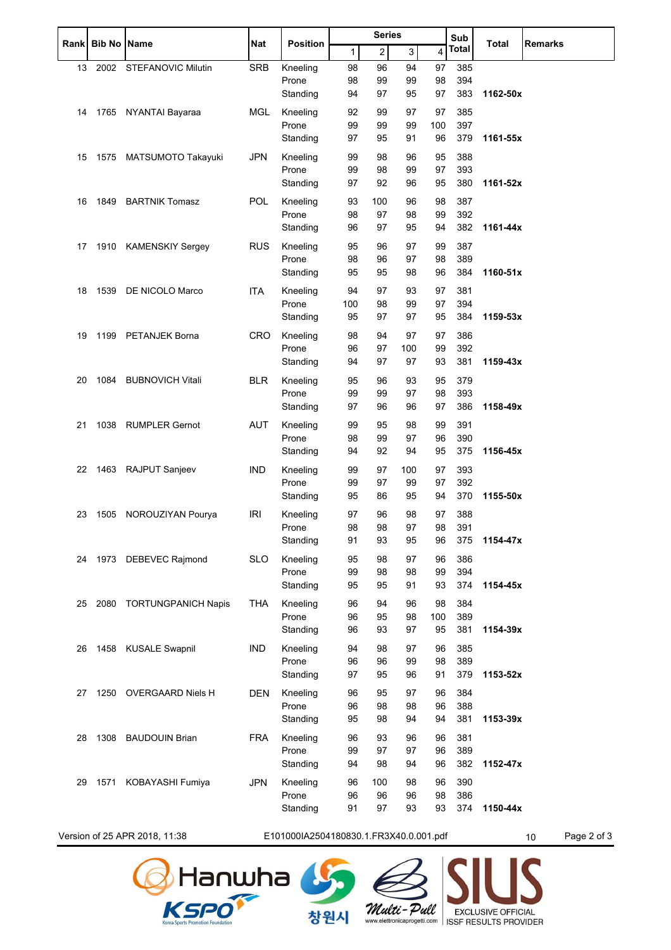| <b>Rank</b>                   | <b>Bib No Name</b> |                            | Nat                                    | <b>Position</b>   | <b>Series</b> |            |           | Sub       | <b>Total</b> | <b>Remarks</b>    |  |
|-------------------------------|--------------------|----------------------------|----------------------------------------|-------------------|---------------|------------|-----------|-----------|--------------|-------------------|--|
|                               |                    |                            |                                        |                   | 1             | $\sqrt{2}$ | 3         | 4         | <b>Total</b> |                   |  |
| 13                            |                    | 2002 STEFANOVIC Milutin    | SRB                                    | Kneeling          | 98            | 96         | 94        | 97        | 385          |                   |  |
|                               |                    |                            |                                        | Prone             | 98            | 99         | 99        | 98        | 394          |                   |  |
|                               |                    |                            |                                        | Standing          | 94            | 97         | 95        | 97        | 383          | 1162-50x          |  |
| 14                            |                    | 1765 NYANTAI Bayaraa       | <b>MGL</b>                             | Kneeling          | 92            | 99         | 97        | 97        | 385          |                   |  |
|                               |                    |                            |                                        | Prone             | 99            | 99         | 99        | 100       | 397          |                   |  |
|                               |                    |                            |                                        | Standing          | 97            | 95         | 91        | 96        | 379          | 1161-55x          |  |
| 15                            |                    | 1575 MATSUMOTO Takayuki    | <b>JPN</b>                             | Kneeling          | 99            | 98         | 96        | 95        | 388          |                   |  |
|                               |                    |                            |                                        | Prone             | 99            | 98         | 99        | 97        | 393          |                   |  |
|                               |                    |                            |                                        | Standing          | 97            | 92         | 96        | 95        | 380          | 1161-52x          |  |
| 16                            |                    | 1849 BARTNIK Tomasz        | <b>POL</b>                             | Kneeling          | 93            | 100        | 96        | 98        | 387          |                   |  |
|                               |                    |                            |                                        | Prone             | 98            | 97         | 98        | 99        | 392          |                   |  |
|                               |                    |                            |                                        | Standing          | 96            | 97         | 95        | 94        | 382          | 1161-44x          |  |
| 17                            |                    | 1910 KAMENSKIY Sergey      | <b>RUS</b>                             | Kneeling          | 95            | 96         | 97        | 99        | 387          |                   |  |
|                               |                    |                            |                                        | Prone             | 98            | 96         | 97        | 98        | 389          |                   |  |
|                               |                    |                            |                                        | Standing          | 95            | 95         | 98        | 96        | 384          | 1160-51x          |  |
| 18                            |                    | 1539 DE NICOLO Marco       | <b>ITA</b>                             | Kneeling          | 94            | 97         | 93        | 97        | 381          |                   |  |
|                               |                    |                            |                                        | Prone             | 100           | 98         | 99        | 97        | 394          |                   |  |
|                               |                    |                            |                                        | Standing          | 95            | 97         | 97        | 95        | 384          | 1159-53x          |  |
| 19                            |                    | 1199 PETANJEK Borna        | <b>CRO</b>                             | Kneeling          | 98            | 94         | 97        | 97        | 386          |                   |  |
|                               |                    |                            |                                        | Prone             | 96            | 97         | 100       | 99        | 392          |                   |  |
|                               |                    |                            |                                        | Standing          | 94            | 97         | 97        | 93        | 381          | 1159-43x          |  |
| 20                            | 1084               | <b>BUBNOVICH Vitali</b>    | <b>BLR</b>                             | Kneeling          | 95            | 96         | 93        | 95        | 379          |                   |  |
|                               |                    |                            |                                        | Prone             | 99            | 99         | 97        | 98        | 393          |                   |  |
|                               |                    |                            |                                        | Standing          | 97            | 96         | 96        | 97        | 386          | 1158-49x          |  |
| 21                            |                    | 1038 RUMPLER Gernot        | <b>AUT</b>                             | Kneeling          | 99            | 95         | 98        | 99        | 391          |                   |  |
|                               |                    |                            |                                        | Prone             | 98            | 99         | 97        | 96        | 390          |                   |  |
|                               |                    |                            |                                        | Standing          | 94            | 92         | 94        | 95        | 375          | 1156-45x          |  |
|                               |                    |                            |                                        |                   |               |            |           |           |              |                   |  |
| 22                            |                    | 1463 RAJPUT Sanjeev        | <b>IND</b>                             | Kneeling<br>Prone | 99<br>99      | 97<br>97   | 100<br>99 | 97<br>97  | 393<br>392   |                   |  |
|                               |                    |                            |                                        | Standing          | 95            | 86         | 95        | 94        | 370          | 1155-50x          |  |
|                               |                    |                            |                                        |                   |               |            |           |           |              |                   |  |
| 23                            |                    | 1505 NOROUZIYAN Pourya     | <b>IRI</b>                             | Kneeling<br>Prone | 97<br>98      | 96<br>98   | 98<br>97  | 97<br>98  | 388<br>391   |                   |  |
|                               |                    |                            |                                        | Standing          | 91            | 93         | 95        | 96        | 375          | 1154-47x          |  |
|                               |                    |                            |                                        |                   |               |            |           |           |              |                   |  |
| 24                            |                    | 1973 DEBEVEC Rajmond       | <b>SLO</b>                             | Kneeling<br>Prone | 95<br>99      | 98<br>98   | 97<br>98  | 96<br>99  | 386<br>394   |                   |  |
|                               |                    |                            |                                        | Standing          | 95            | 95         | 91        | 93        | 374          | 1154-45x          |  |
|                               |                    |                            |                                        |                   |               |            |           |           |              |                   |  |
| 25                            | 2080               | <b>TORTUNGPANICH Napis</b> | <b>THA</b>                             | Kneeling<br>Prone | 96            | 94<br>95   | 96        | 98        | 384          |                   |  |
|                               |                    |                            |                                        | Standing          | 96<br>96      | 93         | 98<br>97  | 100<br>95 | 389<br>381   | 1154-39x          |  |
|                               |                    |                            |                                        |                   |               |            |           |           |              |                   |  |
| 26                            |                    | 1458 KUSALE Swapnil        | <b>IND</b>                             | Kneeling          | 94            | 98         | 97        | 96        | 385          |                   |  |
|                               |                    |                            |                                        | Prone<br>Standing | 96<br>97      | 96<br>95   | 99<br>96  | 98<br>91  | 389<br>379   | 1153-52x          |  |
|                               |                    |                            |                                        |                   |               |            |           |           |              |                   |  |
| 27                            |                    | 1250 OVERGAARD Niels H     | <b>DEN</b>                             | Kneeling          | 96            | 95         | 97        | 96        | 384          |                   |  |
|                               |                    |                            |                                        | Prone<br>Standing | 96<br>95      | 98<br>98   | 98<br>94  | 96<br>94  | 388<br>381   | 1153-39x          |  |
|                               |                    |                            |                                        |                   |               |            |           |           |              |                   |  |
| 28                            |                    | 1308 BAUDOUIN Brian        | <b>FRA</b>                             | Kneeling          | 96            | 93         | 96        | 96        | 381          |                   |  |
|                               |                    |                            |                                        | Prone             | 99            | 97         | 97        | 96        | 389          |                   |  |
|                               |                    |                            |                                        | Standing          | 94            | 98         | 94        | 96        | 382          | 1152-47x          |  |
| 29                            | 1571               | KOBAYASHI Fumiya           | JPN                                    | Kneeling          | 96            | 100        | 98        | 96        | 390          |                   |  |
|                               |                    |                            |                                        | Prone             | 96            | 96         | 96        | 98        | 386          |                   |  |
|                               |                    |                            |                                        | Standing          | 91            | 97         | 93        | 93        | 374          | 1150-44x          |  |
| Version of 25 APR 2018, 11:38 |                    |                            | E101000IA2504180830.1.FR3X40.0.001.pdf |                   |               |            |           |           |              | Page 2 of 3<br>10 |  |